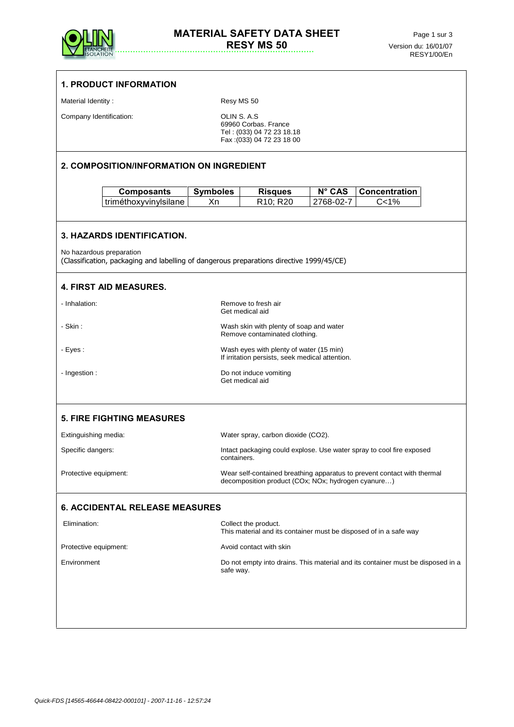

|                                          | <b>1. PRODUCT INFORMATION</b>                                                                                        |                       |                                                                                                                               |                     |                              |  |  |  |
|------------------------------------------|----------------------------------------------------------------------------------------------------------------------|-----------------------|-------------------------------------------------------------------------------------------------------------------------------|---------------------|------------------------------|--|--|--|
| Material Identity:                       |                                                                                                                      |                       | Resy MS 50                                                                                                                    |                     |                              |  |  |  |
| Company Identification:                  |                                                                                                                      |                       | OLIN S. A.S<br>69960 Corbas. France<br>Tel: (033) 04 72 23 18.18<br>Fax: (033) 04 72 23 18 00                                 |                     |                              |  |  |  |
| 2. COMPOSITION/INFORMATION ON INGREDIENT |                                                                                                                      |                       |                                                                                                                               |                     |                              |  |  |  |
|                                          | <b>Composants</b><br>triméthoxyvinylsilane                                                                           | <b>Symboles</b><br>Xn | <b>Risques</b><br>R10; R20                                                                                                    | N° CAS<br>2768-02-7 | <b>Concentration</b><br>C<1% |  |  |  |
|                                          | 3. HAZARDS IDENTIFICATION.                                                                                           |                       |                                                                                                                               |                     |                              |  |  |  |
|                                          | No hazardous preparation<br>(Classification, packaging and labelling of dangerous preparations directive 1999/45/CE) |                       |                                                                                                                               |                     |                              |  |  |  |
|                                          | <b>4. FIRST AID MEASURES.</b>                                                                                        |                       |                                                                                                                               |                     |                              |  |  |  |
| - Inhalation:                            |                                                                                                                      |                       | Remove to fresh air<br>Get medical aid                                                                                        |                     |                              |  |  |  |
| - Skin :                                 |                                                                                                                      |                       | Wash skin with plenty of soap and water<br>Remove contaminated clothing.                                                      |                     |                              |  |  |  |
| - Eyes:                                  |                                                                                                                      |                       | Wash eyes with plenty of water (15 min)<br>If irritation persists, seek medical attention.                                    |                     |                              |  |  |  |
| - Ingestion :                            |                                                                                                                      |                       | Do not induce vomiting<br>Get medical aid                                                                                     |                     |                              |  |  |  |
|                                          | <b>5. FIRE FIGHTING MEASURES</b>                                                                                     |                       |                                                                                                                               |                     |                              |  |  |  |
| Extinguishing media:                     |                                                                                                                      |                       | Water spray, carbon dioxide (CO2).                                                                                            |                     |                              |  |  |  |
| Specific dangers:                        |                                                                                                                      |                       | Intact packaging could explose. Use water spray to cool fire exposed<br>containers.                                           |                     |                              |  |  |  |
| Protective equipment:                    |                                                                                                                      |                       | Wear self-contained breathing apparatus to prevent contact with thermal<br>decomposition product (COx; NOx; hydrogen cyanure) |                     |                              |  |  |  |
|                                          | <b>6. ACCIDENTAL RELEASE MEASURES</b>                                                                                |                       |                                                                                                                               |                     |                              |  |  |  |
| Elimination:                             |                                                                                                                      |                       | Collect the product.<br>This material and its container must be disposed of in a safe way                                     |                     |                              |  |  |  |
| Protective equipment:                    |                                                                                                                      |                       | Avoid contact with skin                                                                                                       |                     |                              |  |  |  |
| Environment                              |                                                                                                                      |                       | Do not empty into drains. This material and its container must be disposed in a<br>safe way.                                  |                     |                              |  |  |  |
|                                          |                                                                                                                      |                       |                                                                                                                               |                     |                              |  |  |  |
|                                          |                                                                                                                      |                       |                                                                                                                               |                     |                              |  |  |  |
|                                          |                                                                                                                      |                       |                                                                                                                               |                     |                              |  |  |  |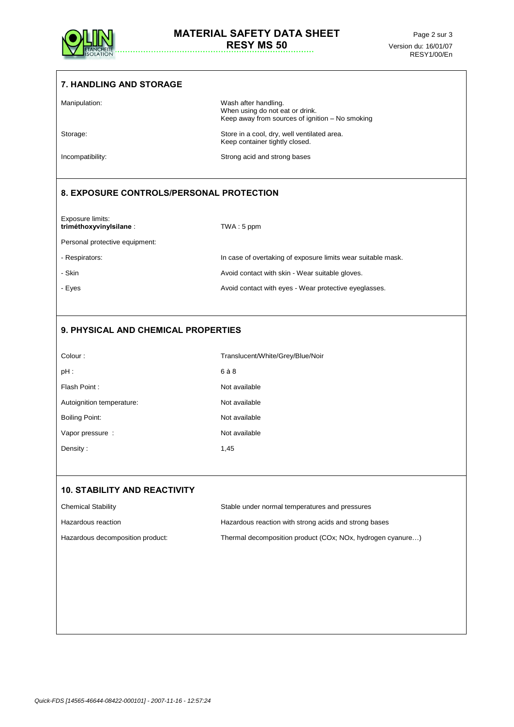

| <b>7. HANDLING AND STORAGE</b>              |                                                                                                            |  |  |  |  |
|---------------------------------------------|------------------------------------------------------------------------------------------------------------|--|--|--|--|
| Manipulation:                               | Wash after handling.<br>When using do not eat or drink.<br>Keep away from sources of ignition - No smoking |  |  |  |  |
| Storage:                                    | Store in a cool, dry, well ventilated area.<br>Keep container tightly closed.                              |  |  |  |  |
| Incompatibility:                            | Strong acid and strong bases                                                                               |  |  |  |  |
| 8. EXPOSURE CONTROLS/PERSONAL PROTECTION    |                                                                                                            |  |  |  |  |
| Exposure limits:<br>triméthoxyvinylsilane : | $TWA:5$ ppm                                                                                                |  |  |  |  |
| Personal protective equipment:              |                                                                                                            |  |  |  |  |
| - Respirators:                              | In case of overtaking of exposure limits wear suitable mask.                                               |  |  |  |  |
| - Skin                                      | Avoid contact with skin - Wear suitable gloves.                                                            |  |  |  |  |
| - Eyes                                      | Avoid contact with eyes - Wear protective eyeglasses.                                                      |  |  |  |  |
|                                             |                                                                                                            |  |  |  |  |
| 9. PHYSICAL AND CHEMICAL PROPERTIES         |                                                                                                            |  |  |  |  |
| Colour:                                     | Translucent/White/Grey/Blue/Noir                                                                           |  |  |  |  |
| $pH$ :                                      | 6 à 8                                                                                                      |  |  |  |  |
| Flash Point:                                | Not available                                                                                              |  |  |  |  |
| Autoignition temperature:                   | Not available                                                                                              |  |  |  |  |
| <b>Boiling Point:</b>                       | Not available                                                                                              |  |  |  |  |
| Vapor pressure :                            | Not available                                                                                              |  |  |  |  |
| Density:                                    | 1,45                                                                                                       |  |  |  |  |
| <b>10. STABILITY AND REACTIVITY</b>         |                                                                                                            |  |  |  |  |
| <b>Chemical Stability</b>                   | Stable under normal temperatures and pressures                                                             |  |  |  |  |
| Hazardous reaction                          | Hazardous reaction with strong acids and strong bases                                                      |  |  |  |  |
| Hazardous decomposition product:            | Thermal decomposition product (COx; NOx, hydrogen cyanure)                                                 |  |  |  |  |
|                                             |                                                                                                            |  |  |  |  |
|                                             |                                                                                                            |  |  |  |  |
|                                             |                                                                                                            |  |  |  |  |
|                                             |                                                                                                            |  |  |  |  |
|                                             |                                                                                                            |  |  |  |  |
|                                             |                                                                                                            |  |  |  |  |